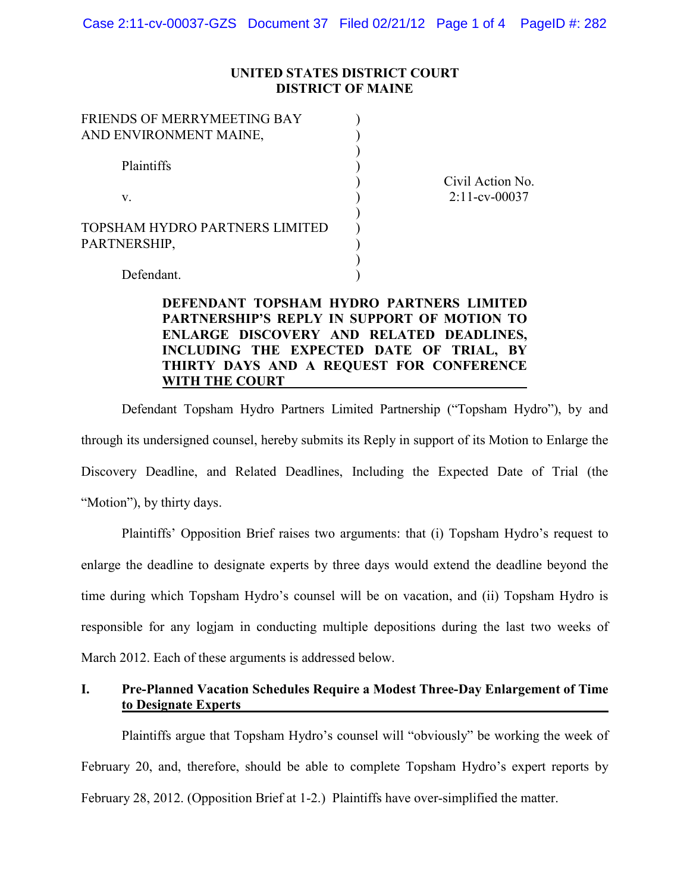### **UNITED STATES DISTRICT COURT DISTRICT OF MAINE**

| FRIENDS OF MERRYMEETING BAY<br>AND ENVIRONMENT MAINE, |                  |
|-------------------------------------------------------|------------------|
| Plaintiffs                                            | Civil Action No. |
| V.                                                    | $2:11$ -cv-00037 |
| TOPSHAM HYDRO PARTNERS LIMITED<br>PARTNERSHIP,        |                  |
| Defendant.                                            |                  |

# **DEFENDANT TOPSHAM HYDRO PARTNERS LIMITED PARTNERSHIP'S REPLY IN SUPPORT OF MOTION TO ENLARGE DISCOVERY AND RELATED DEADLINES, INCLUDING THE EXPECTED DATE OF TRIAL, BY THIRTY DAYS AND A REQUEST FOR CONFERENCE WITH THE COURT**

Defendant Topsham Hydro Partners Limited Partnership ("Topsham Hydro"), by and through its undersigned counsel, hereby submits its Reply in support of its Motion to Enlarge the Discovery Deadline, and Related Deadlines, Including the Expected Date of Trial (the "Motion"), by thirty days.

Plaintiffs' Opposition Brief raises two arguments: that (i) Topsham Hydro's request to enlarge the deadline to designate experts by three days would extend the deadline beyond the time during which Topsham Hydro's counsel will be on vacation, and (ii) Topsham Hydro is responsible for any logjam in conducting multiple depositions during the last two weeks of March 2012. Each of these arguments is addressed below.

# **I. Pre-Planned Vacation Schedules Require a Modest Three-Day Enlargement of Time to Designate Experts**

Plaintiffs argue that Topsham Hydro's counsel will "obviously" be working the week of February 20, and, therefore, should be able to complete Topsham Hydro's expert reports by February 28, 2012. (Opposition Brief at 1-2.) Plaintiffs have over-simplified the matter.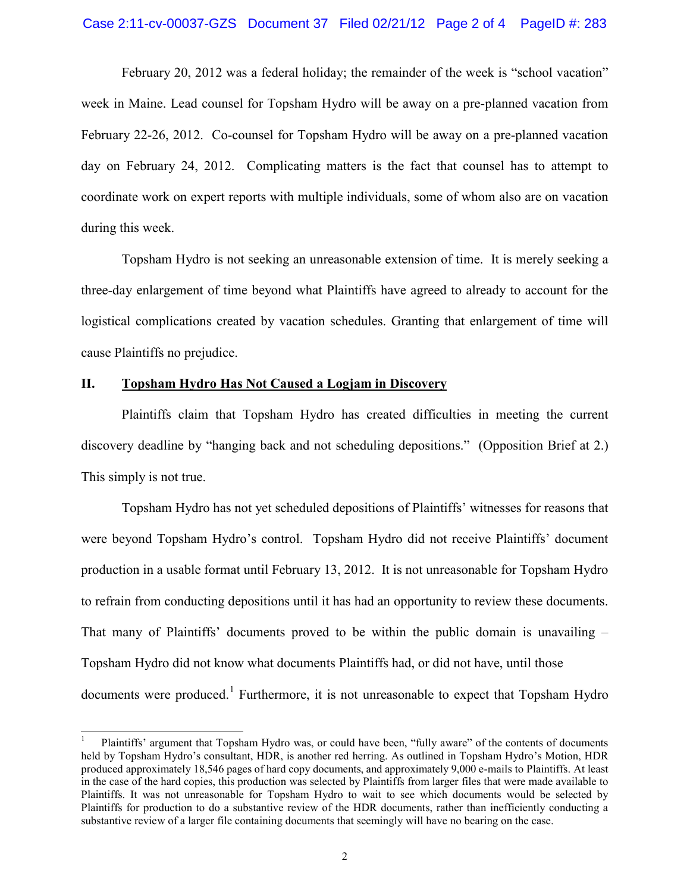#### Case 2:11-cv-00037-GZS Document 37 Filed 02/21/12 Page 2 of 4 PageID #: 283

February 20, 2012 was a federal holiday; the remainder of the week is "school vacation" week in Maine. Lead counsel for Topsham Hydro will be away on a pre-planned vacation from February 22-26, 2012. Co-counsel for Topsham Hydro will be away on a pre-planned vacation day on February 24, 2012. Complicating matters is the fact that counsel has to attempt to coordinate work on expert reports with multiple individuals, some of whom also are on vacation during this week.

Topsham Hydro is not seeking an unreasonable extension of time. It is merely seeking a three-day enlargement of time beyond what Plaintiffs have agreed to already to account for the logistical complications created by vacation schedules. Granting that enlargement of time will cause Plaintiffs no prejudice.

## **II. Topsham Hydro Has Not Caused a Logjam in Discovery**

Plaintiffs claim that Topsham Hydro has created difficulties in meeting the current discovery deadline by "hanging back and not scheduling depositions." (Opposition Brief at 2.) This simply is not true.

Topsham Hydro has not yet scheduled depositions of Plaintiffs' witnesses for reasons that were beyond Topsham Hydro's control. Topsham Hydro did not receive Plaintiffs' document production in a usable format until February 13, 2012. It is not unreasonable for Topsham Hydro to refrain from conducting depositions until it has had an opportunity to review these documents. That many of Plaintiffs' documents proved to be within the public domain is unavailing – Topsham Hydro did not know what documents Plaintiffs had, or did not have, until those documents were produced.<sup>1</sup> Furthermore, it is not unreasonable to expect that Topsham Hydro

 <sup>1</sup> Plaintiffs' argument that Topsham Hydro was, or could have been, "fully aware" of the contents of documents held by Topsham Hydro's consultant, HDR, is another red herring. As outlined in Topsham Hydro's Motion, HDR produced approximately 18,546 pages of hard copy documents, and approximately 9,000 e-mails to Plaintiffs. At least in the case of the hard copies, this production was selected by Plaintiffs from larger files that were made available to Plaintiffs. It was not unreasonable for Topsham Hydro to wait to see which documents would be selected by Plaintiffs for production to do a substantive review of the HDR documents, rather than inefficiently conducting a substantive review of a larger file containing documents that seemingly will have no bearing on the case.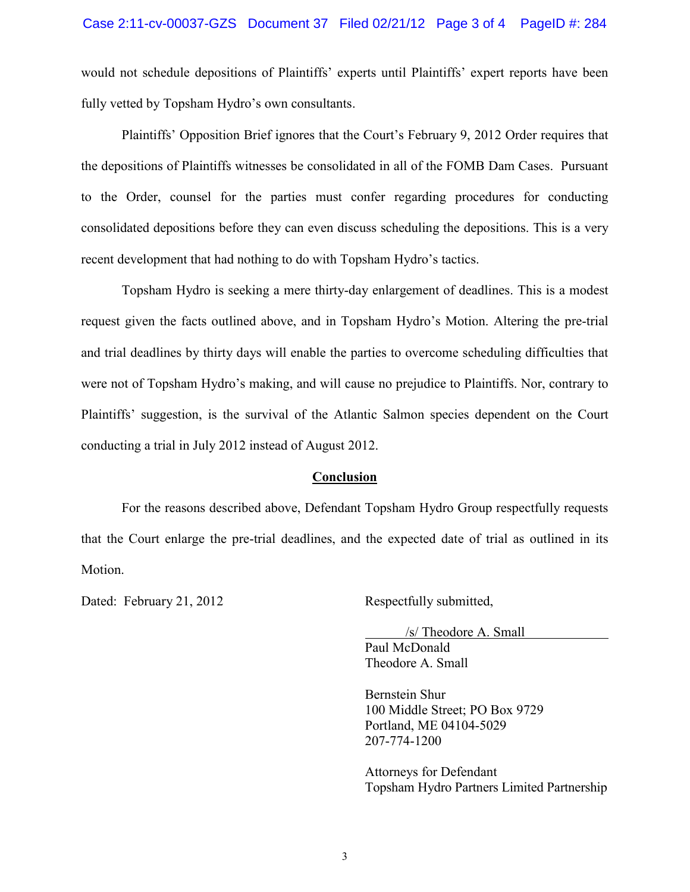would not schedule depositions of Plaintiffs' experts until Plaintiffs' expert reports have been fully vetted by Topsham Hydro's own consultants.

Plaintiffs' Opposition Brief ignores that the Court's February 9, 2012 Order requires that the depositions of Plaintiffs witnesses be consolidated in all of the FOMB Dam Cases. Pursuant to the Order, counsel for the parties must confer regarding procedures for conducting consolidated depositions before they can even discuss scheduling the depositions. This is a very recent development that had nothing to do with Topsham Hydro's tactics.

Topsham Hydro is seeking a mere thirty-day enlargement of deadlines. This is a modest request given the facts outlined above, and in Topsham Hydro's Motion. Altering the pre-trial and trial deadlines by thirty days will enable the parties to overcome scheduling difficulties that were not of Topsham Hydro's making, and will cause no prejudice to Plaintiffs. Nor, contrary to Plaintiffs' suggestion, is the survival of the Atlantic Salmon species dependent on the Court conducting a trial in July 2012 instead of August 2012.

### **Conclusion**

For the reasons described above, Defendant Topsham Hydro Group respectfully requests that the Court enlarge the pre-trial deadlines, and the expected date of trial as outlined in its Motion.

Dated: February 21, 2012 Respectfully submitted,

/s/ Theodore A. Small

Paul McDonald Theodore A. Small

Bernstein Shur 100 Middle Street; PO Box 9729 Portland, ME 04104-5029 207-774-1200

Attorneys for Defendant Topsham Hydro Partners Limited Partnership